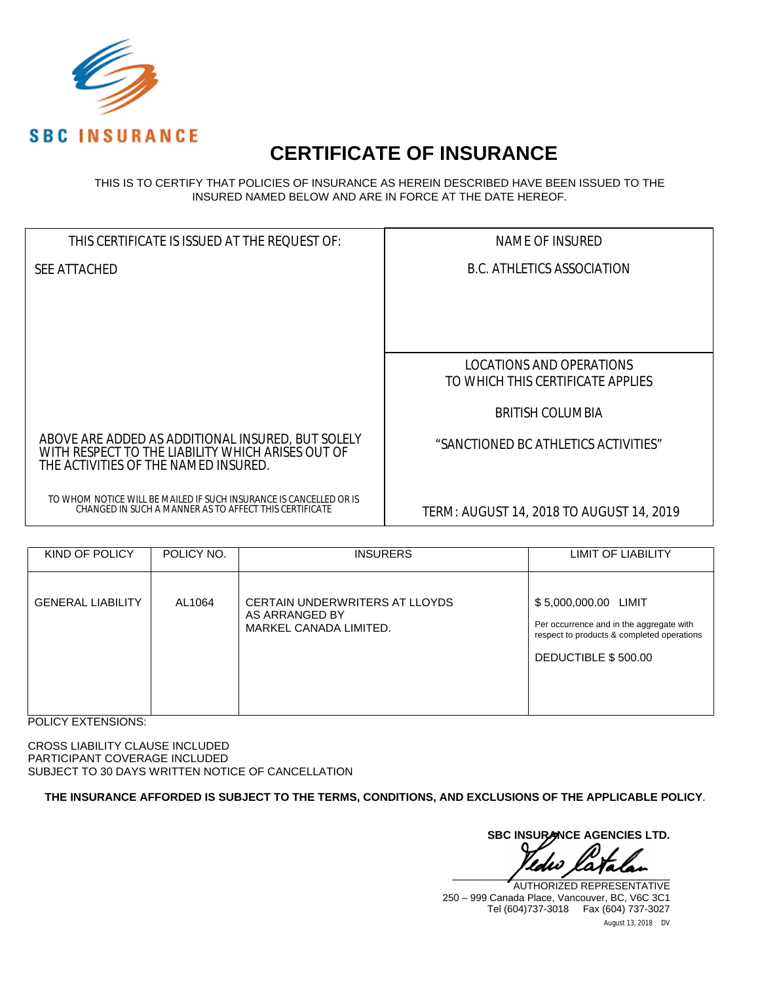

# **CERTIFICATE OF INSURANCE**

THIS IS TO CERTIFY THAT POLICIES OF INSURANCE AS HEREIN DESCRIBED HAVE BEEN ISSUED TO THE INSURED NAMED BELOW AND ARE IN FORCE AT THE DATE HEREOF.

| THIS CERTIFICATE IS ISSUED AT THE REQUEST OF:                                                                                                  | NAME OF INSURED                          |
|------------------------------------------------------------------------------------------------------------------------------------------------|------------------------------------------|
| SEE ATTACHED                                                                                                                                   | B.C. ATHLETICS ASSOCIATION               |
|                                                                                                                                                |                                          |
|                                                                                                                                                |                                          |
|                                                                                                                                                |                                          |
|                                                                                                                                                | LOCATIONS AND OPERATIONS                 |
|                                                                                                                                                | TO WHICH THIS CERTIFICATE APPLIES        |
|                                                                                                                                                | <b>BRITISH COLUMBIA</b>                  |
| ABOVE ARE ADDED AS ADDITIONAL INSURED, BUT SOLELY<br>WITH RESPECT TO THE LIABILITY WHICH ARISES OUT OF<br>THE ACTIVITIES OF THE NAMED INSURED. | "SANCTIONED BC ATHLETICS ACTIVITIES"     |
| TO WHOM NOTICE WILL BE MAILED IF SUCH INSURANCE IS CANCELLED OR IS<br>CHANGED IN SUCH A MANNER AS TO AFFECT THIS CERTIFICATE                   | TERM: AUGUST 14, 2018 TO AUGUST 14, 2019 |

| KIND OF POLICY           | POLICY NO. | <b>INSURERS</b>                                                            | LIMIT OF LIABILITY                                                                                                                    |
|--------------------------|------------|----------------------------------------------------------------------------|---------------------------------------------------------------------------------------------------------------------------------------|
| <b>GENERAL LIABILITY</b> | AL1064     | CERTAIN UNDERWRITERS AT LLOYDS<br>AS ARRANGED BY<br>MARKEL CANADA LIMITED. | \$5,000,000.00 LIMIT<br>Per occurrence and in the aggregate with<br>respect to products & completed operations<br>DEDUCTIBLE \$500.00 |

POLICY EXTENSIONS:

CROSS LIABILITY CLAUSE INCLUDED PARTICIPANT COVERAGE INCLUDED SUBJECT TO 30 DAYS WRITTEN NOTICE OF CANCELLATION

**THE INSURANCE AFFORDED IS SUBJECT TO THE TERMS, CONDITIONS, AND EXCLUSIONS OF THE APPLICABLE POLICY**.

**SBC INSURANCE AGENCIES LTD.**  $\frac{1}{2}$ 

August 13, 2018 DV AUTHORIZED REPRESENTATIVE 250 – 999 Canada Place, Vancouver, BC, V6C 3C1 Tel (604)737-3018 Fax (604) 737-3027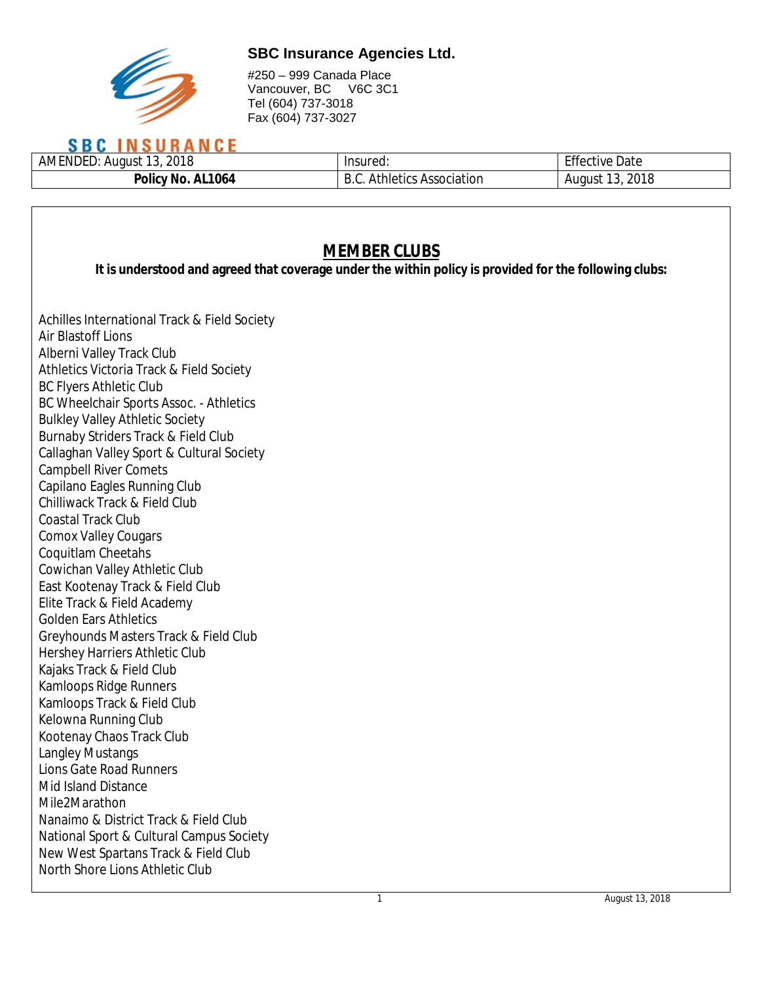

#250 – 999 Canada Place Vancouver, BC V6C 3C1 Tel (604) 737-3018 Fax (604) 737-3027

## **SBC INSURANCE**

| 2018<br>AMENDEL.<br>August | Insured.                      | $ \sim$<br>Date<br>uve |
|----------------------------|-------------------------------|------------------------|
| AL1064<br>. Olicy<br>'NC.  | . Association<br>etics<br>.mr | 2018<br>August         |

| <b>MEMBER CLUBS</b><br>It is understood and agreed that coverage under the within policy is provided for the following clubs: |  |  |  |
|-------------------------------------------------------------------------------------------------------------------------------|--|--|--|
| Achilles International Track & Field Society                                                                                  |  |  |  |
| Air Blastoff Lions                                                                                                            |  |  |  |
| Alberni Valley Track Club                                                                                                     |  |  |  |
| Athletics Victoria Track & Field Society                                                                                      |  |  |  |
| <b>BC Flyers Athletic Club</b>                                                                                                |  |  |  |
| BC Wheelchair Sports Assoc. - Athletics                                                                                       |  |  |  |
| <b>Bulkley Valley Athletic Society</b>                                                                                        |  |  |  |
| Burnaby Striders Track & Field Club                                                                                           |  |  |  |
| Callaghan Valley Sport & Cultural Society                                                                                     |  |  |  |
| <b>Campbell River Comets</b>                                                                                                  |  |  |  |
| Capilano Eagles Running Club                                                                                                  |  |  |  |
| Chilliwack Track & Field Club                                                                                                 |  |  |  |
| Coastal Track Club                                                                                                            |  |  |  |
| Comox Valley Cougars                                                                                                          |  |  |  |
| Coquitlam Cheetahs                                                                                                            |  |  |  |
| Cowichan Valley Athletic Club                                                                                                 |  |  |  |
| East Kootenay Track & Field Club                                                                                              |  |  |  |
| Elite Track & Field Academy                                                                                                   |  |  |  |
| Golden Ears Athletics                                                                                                         |  |  |  |
| Greyhounds Masters Track & Field Club                                                                                         |  |  |  |
| Hershey Harriers Athletic Club                                                                                                |  |  |  |
| Kajaks Track & Field Club                                                                                                     |  |  |  |
| Kamloops Ridge Runners                                                                                                        |  |  |  |
| Kamloops Track & Field Club                                                                                                   |  |  |  |
| Kelowna Running Club                                                                                                          |  |  |  |
| Kootenay Chaos Track Club                                                                                                     |  |  |  |
| Langley Mustangs                                                                                                              |  |  |  |
| Lions Gate Road Runners                                                                                                       |  |  |  |
| Mid Island Distance                                                                                                           |  |  |  |
| Mile2Marathon                                                                                                                 |  |  |  |
| Nanaimo & District Track & Field Club                                                                                         |  |  |  |
| National Sport & Cultural Campus Society                                                                                      |  |  |  |
| New West Spartans Track & Field Club                                                                                          |  |  |  |
| North Shore Lions Athletic Club                                                                                               |  |  |  |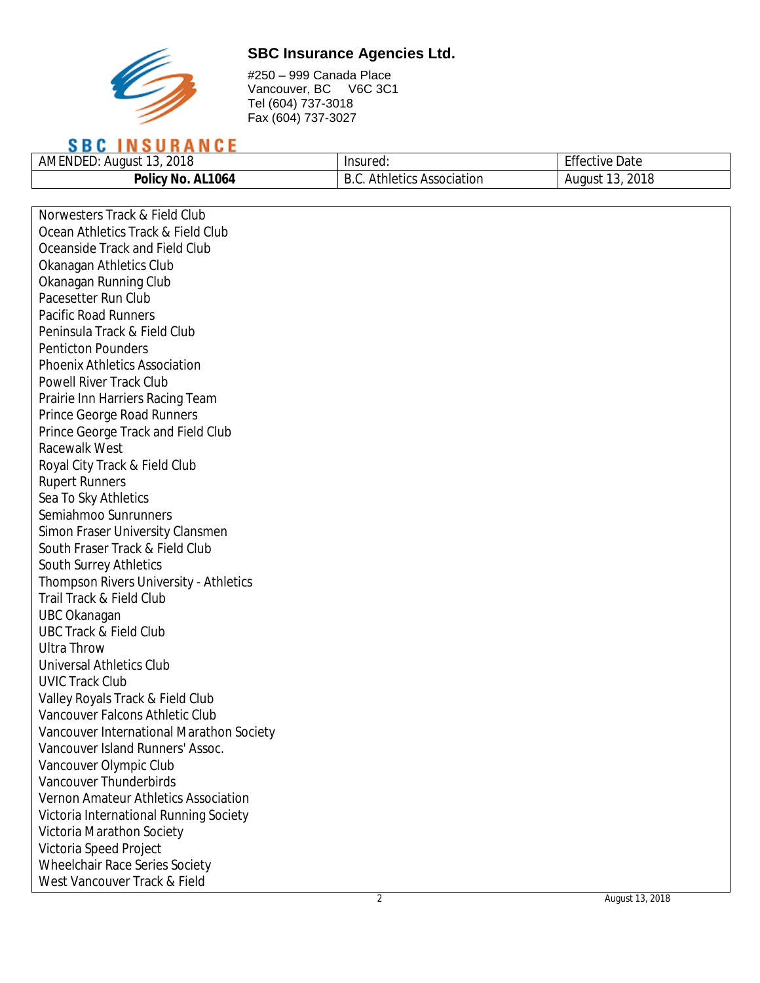

#250 – 999 Canada Place Vancouver, BC V6C 3C1 Tel (604) 737-3018 Fax (604) 737-3027

## **SBC INSURANCE**

| 2018<br>AMENDEL<br>August<br>. J | Insured:                   | $-$ cc<br>Date<br>tive |
|----------------------------------|----------------------------|------------------------|
| Policy<br>AL1064<br>'No.         | Athletics Association<br>к | 2018<br>August         |

| Norwesters Track & Field Club            |                |                 |
|------------------------------------------|----------------|-----------------|
| Ocean Athletics Track & Field Club       |                |                 |
| Oceanside Track and Field Club           |                |                 |
| Okanagan Athletics Club                  |                |                 |
| Okanagan Running Club                    |                |                 |
| Pacesetter Run Club                      |                |                 |
| <b>Pacific Road Runners</b>              |                |                 |
| Peninsula Track & Field Club             |                |                 |
| <b>Penticton Pounders</b>                |                |                 |
| <b>Phoenix Athletics Association</b>     |                |                 |
| Powell River Track Club                  |                |                 |
| Prairie Inn Harriers Racing Team         |                |                 |
| Prince George Road Runners               |                |                 |
| Prince George Track and Field Club       |                |                 |
| Racewalk West                            |                |                 |
| Royal City Track & Field Club            |                |                 |
| <b>Rupert Runners</b>                    |                |                 |
| Sea To Sky Athletics                     |                |                 |
| Semiahmoo Sunrunners                     |                |                 |
| Simon Fraser University Clansmen         |                |                 |
| South Fraser Track & Field Club          |                |                 |
| South Surrey Athletics                   |                |                 |
| Thompson Rivers University - Athletics   |                |                 |
| Trail Track & Field Club                 |                |                 |
| UBC Okanagan                             |                |                 |
| <b>UBC Track &amp; Field Club</b>        |                |                 |
| <b>Ultra Throw</b>                       |                |                 |
| Universal Athletics Club                 |                |                 |
| <b>UVIC Track Club</b>                   |                |                 |
| Valley Royals Track & Field Club         |                |                 |
| Vancouver Falcons Athletic Club          |                |                 |
| Vancouver International Marathon Society |                |                 |
| Vancouver Island Runners' Assoc.         |                |                 |
| Vancouver Olympic Club                   |                |                 |
| Vancouver Thunderbirds                   |                |                 |
| Vernon Amateur Athletics Association     |                |                 |
| Victoria International Running Society   |                |                 |
| Victoria Marathon Society                |                |                 |
| Victoria Speed Project                   |                |                 |
| Wheelchair Race Series Society           |                |                 |
| West Vancouver Track & Field             |                |                 |
|                                          | $\overline{2}$ | August 13, 2018 |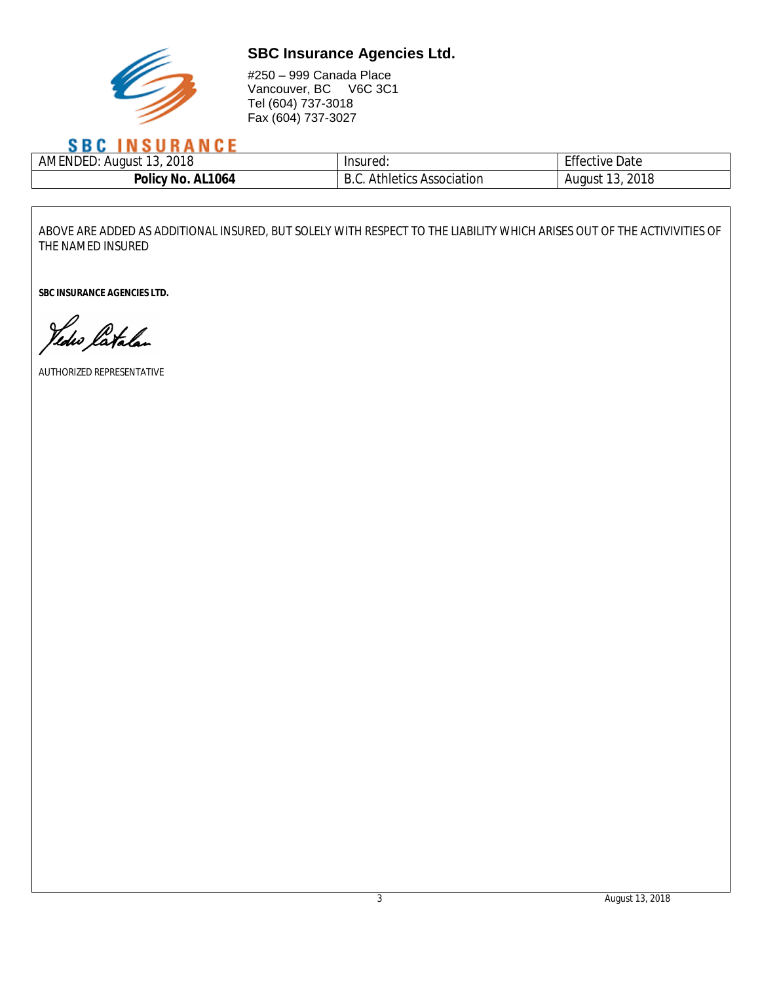

#250 – 999 Canada Place Vancouver, BC V6C 3C1 Tel (604) 737-3018 Fax (604) 737-3027

## **SBC INSURANCE**

| 2018<br>$\overline{a}$<br>)F<br>AMENL<br>August | Insured:    | $-$ cc<br>Date<br>ffective |
|-------------------------------------------------|-------------|----------------------------|
| AL1064                                          | Athletics   | 2018                       |
| <b>Policy</b>                                   | Association | August                     |
| 'No.                                            | υ.⊽.        | .                          |

ABOVE ARE ADDED AS ADDITIONAL INSURED, BUT SOLELY WITH RESPECT TO THE LIABILITY WHICH ARISES OUT OF THE ACTIVIVITIES OF THE NAMED INSURED

**SBC INSURANCE AGENCIES LTD.**

Yedw latalan

AUTHORIZED REPRESENTATIVE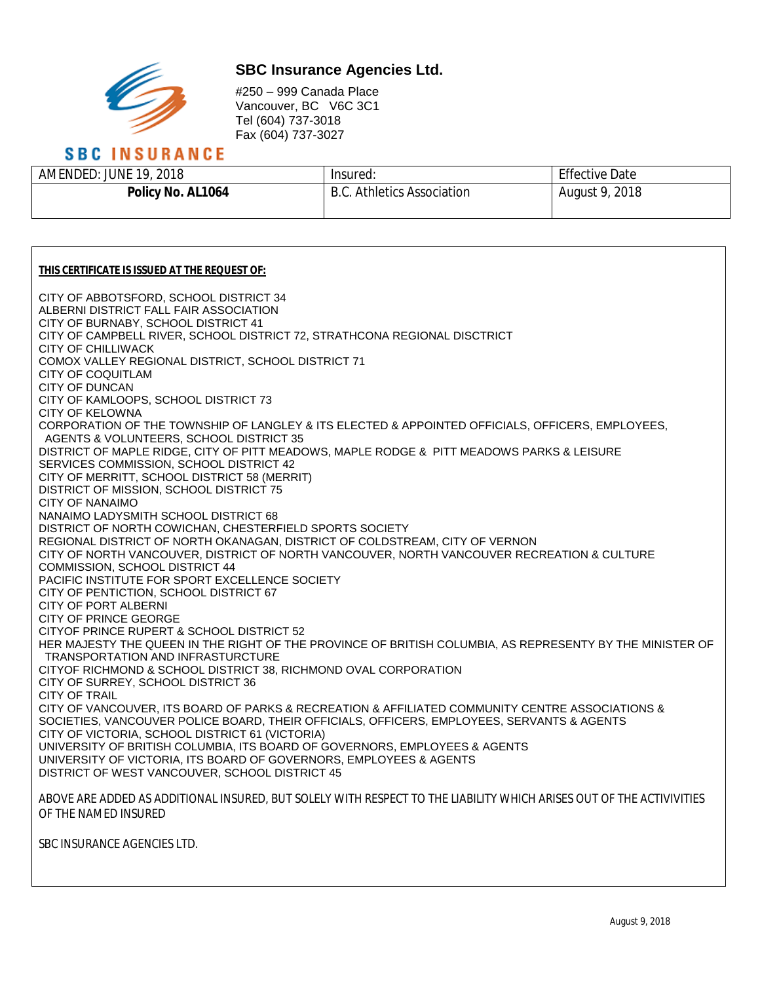

Г

## **SBC Insurance Agencies Ltd.**

#250 – 999 Canada Place Vancouver, BC V6C 3C1 Tel (604) 737-3018 Fax (604) 737-3027

| <b>SBC INSURANCE</b>   |                                   |                       |
|------------------------|-----------------------------------|-----------------------|
| AMENDED: JUNE 19, 2018 | Insured:                          | <b>Effective Date</b> |
| Policy No. AL1064      | <b>B.C. Athletics Association</b> | August 9, 2018        |

| THIS CERTIFICATE IS ISSUED AT THE REQUEST OF:                                                                                                 |
|-----------------------------------------------------------------------------------------------------------------------------------------------|
| CITY OF ABBOTSFORD, SCHOOL DISTRICT 34                                                                                                        |
| ALBERNI DISTRICT FALL FAIR ASSOCIATION                                                                                                        |
| CITY OF BURNABY, SCHOOL DISTRICT 41<br>CITY OF CAMPBELL RIVER, SCHOOL DISTRICT 72, STRATHCONA REGIONAL DISCTRICT                              |
| CITY OF CHILLIWACK                                                                                                                            |
| COMOX VALLEY REGIONAL DISTRICT, SCHOOL DISTRICT 71                                                                                            |
| CITY OF COQUITLAM                                                                                                                             |
| <b>CITY OF DUNCAN</b>                                                                                                                         |
| CITY OF KAMLOOPS, SCHOOL DISTRICT 73                                                                                                          |
| <b>CITY OF KELOWNA</b>                                                                                                                        |
| CORPORATION OF THE TOWNSHIP OF LANGLEY & ITS ELECTED & APPOINTED OFFICIALS, OFFICERS, EMPLOYEES,                                              |
| AGENTS & VOLUNTEERS, SCHOOL DISTRICT 35                                                                                                       |
| DISTRICT OF MAPLE RIDGE, CITY OF PITT MEADOWS, MAPLE RODGE & PITT MEADOWS PARKS & LEISURE<br>SERVICES COMMISSION, SCHOOL DISTRICT 42          |
| CITY OF MERRITT, SCHOOL DISTRICT 58 (MERRIT)                                                                                                  |
| DISTRICT OF MISSION, SCHOOL DISTRICT 75                                                                                                       |
| <b>CITY OF NANAIMO</b>                                                                                                                        |
| NANAIMO LADYSMITH SCHOOL DISTRICT 68                                                                                                          |
| DISTRICT OF NORTH COWICHAN, CHESTERFIELD SPORTS SOCIETY                                                                                       |
| REGIONAL DISTRICT OF NORTH OKANAGAN, DISTRICT OF COLDSTREAM, CITY OF VERNON                                                                   |
| CITY OF NORTH VANCOUVER, DISTRICT OF NORTH VANCOUVER, NORTH VANCOUVER RECREATION & CULTURE                                                    |
| COMMISSION, SCHOOL DISTRICT 44                                                                                                                |
| PACIFIC INSTITUTE FOR SPORT EXCELLENCE SOCIETY                                                                                                |
| CITY OF PENTICTION, SCHOOL DISTRICT 67<br>CITY OF PORT ALBERNI                                                                                |
| CITY OF PRINCE GEORGE                                                                                                                         |
| CITYOF PRINCE RUPERT & SCHOOL DISTRICT 52                                                                                                     |
| HER MAJESTY THE QUEEN IN THE RIGHT OF THE PROVINCE OF BRITISH COLUMBIA, AS REPRESENTY BY THE MINISTER OF                                      |
| TRANSPORTATION AND INFRASTURCTURE                                                                                                             |
| CITYOF RICHMOND & SCHOOL DISTRICT 38, RICHMOND OVAL CORPORATION                                                                               |
| CITY OF SURREY, SCHOOL DISTRICT 36                                                                                                            |
| <b>CITY OF TRAIL</b>                                                                                                                          |
| CITY OF VANCOUVER, ITS BOARD OF PARKS & RECREATION & AFFILIATED COMMUNITY CENTRE ASSOCIATIONS &                                               |
| SOCIETIES, VANCOUVER POLICE BOARD, THEIR OFFICIALS, OFFICERS, EMPLOYEES, SERVANTS & AGENTS<br>CITY OF VICTORIA, SCHOOL DISTRICT 61 (VICTORIA) |
| UNIVERSITY OF BRITISH COLUMBIA, ITS BOARD OF GOVERNORS, EMPLOYEES & AGENTS                                                                    |
| UNIVERSITY OF VICTORIA, ITS BOARD OF GOVERNORS, EMPLOYEES & AGENTS                                                                            |
| DISTRICT OF WEST VANCOUVER, SCHOOL DISTRICT 45                                                                                                |
|                                                                                                                                               |
| ABOVE ARE ADDED AS ADDITIONAL INSURED, BUT SOLELY WITH RESPECT TO THE LIABILITY WHICH ARISES OUT OF THE ACTIVIVITIES                          |
| OF THE NAMED INSURED                                                                                                                          |
| SBC INSURANCE AGENCIES LTD.                                                                                                                   |

August 9, 2018